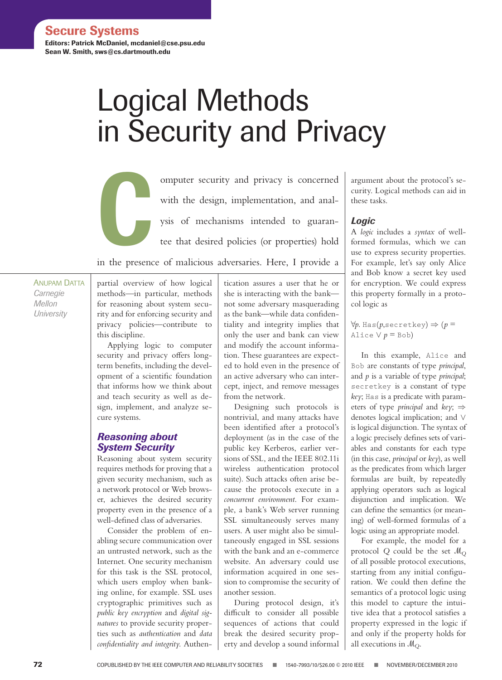Editors: Patrick McDaniel, mcdaniel@cse.psu.edu Sean W. Smith, sws@cs.dartmouth.edu

# Logical Methods in Security and Privacy

omputer security and privacy is concerned<br>with the design, implementation, and anal-<br>ysis of mechanisms intended to guaran-<br>tee that desired policies (or properties) hold with the design, implementation, and analysis of mechanisms intended to guarantee that desired policies (or properties) hold in the presence of malicious adversaries. Here, I provide a

**ANUPAM DATTA** *Carnegie Mellon University*

partial overview of how logical methods—in particular, methods for reasoning about system security and for enforcing security and privacy policies—contribute to this discipline.

Applying logic to computer security and privacy offers longterm benefits, including the development of a scientific foundation that informs how we think about and teach security as well as design, implement, and analyze secure systems.

## *Reasoning about System Security*

Reasoning about system security requires methods for proving that a given security mechanism, such as a network protocol or Web browser, achieves the desired security property even in the presence of a well-defined class of adversaries.

Consider the problem of enabling secure communication over an untrusted network, such as the Internet. One security mechanism for this task is the SSL protocol, which users employ when banking online, for example. SSL uses cryptographic primitives such as *public key encryption* and *digital signatures* to provide security properties such as *authentication* and *data confidentiality and integrity*. Authen-

tication assures a user that he or she is interacting with the bank not some adversary masquerading as the bank—while data confidentiality and integrity implies that only the user and bank can view and modify the account information. These guarantees are expected to hold even in the presence of an active adversary who can intercept, inject, and remove messages from the network.

Designing such protocols is nontrivial, and many attacks have been identified after a protocol's deployment (as in the case of the public key Kerberos, earlier versions of SSL, and the IEEE 802.11i wireless authentication protocol suite). Such attacks often arise because the protocols execute in a *concurrent environment*. For example, a bank's Web server running SSL simultaneously serves many users. A user might also be simultaneously engaged in SSL sessions with the bank and an e-commerce website. An adversary could use information acquired in one session to compromise the security of another session.

During protocol design, it's difficult to consider all possible sequences of actions that could break the desired security property and develop a sound informal

argument about the protocol's security. Logical methods can aid in these tasks.

## *Logic*

A *logic* includes a *syntax* of wellformed formulas, which we can use to express security properties. For example, let's say only Alice and Bob know a secret key used for encryption. We could express this property formally in a protocol logic as

```
∀p. Has(p,secretkey) ⇒ (p =Alice V p = Bob)
```
In this example, Alice and Bob are constants of type *principal*, and *p* is a variable of type *principal*; secretkey is a constant of type *key*; Has is a predicate with parameters of type *principal* and *key*; ⇒ denotes logical implication; and ∨ is logical disjunction. The syntax of a logic precisely defines sets of variables and constants for each type (in this case, *principal* or *key*), as well as the predicates from which larger formulas are built, by repeatedly applying operators such as logical disjunction and implication. We can define the semantics (or meaning) of well-formed formulas of a logic using an appropriate model.

For example, the model for a protocol *Q* could be the set  $M_{O}$ of all possible protocol executions, starting from any initial configuration. We could then define the semantics of a protocol logic using this model to capture the intuitive idea that a protocol satisfies a property expressed in the logic if and only if the property holds for all executions in ℳ*Q*.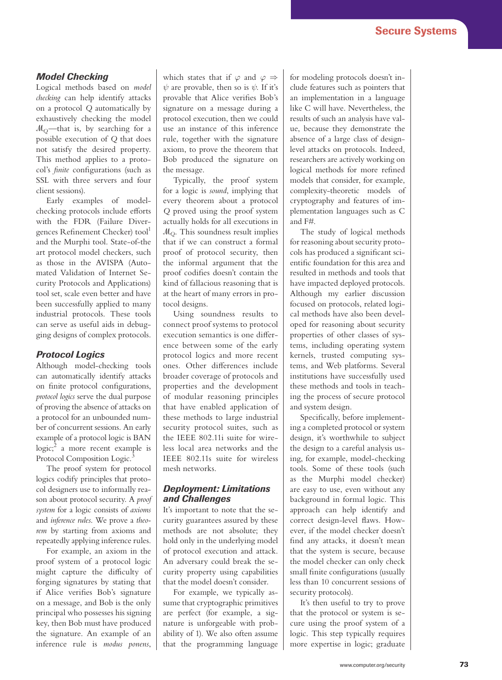## *Model Checking*

Logical methods based on *model checking* can help identify attacks on a protocol *Q* automatically by exhaustively checking the model  $M_{\odot}$ —that is, by searching for a possible execution of *Q* that does not satisfy the desired property. This method applies to a protocol's *finite* configurations (such as SSL with three servers and four client sessions).

Early examples of modelchecking protocols include efforts with the FDR (Failure Divergences Refinement Checker) tool<sup>1</sup> and the Murphi tool. State-of-the art protocol model checkers, such as those in the AVISPA (Automated Validation of Internet Security Protocols and Applications) tool set, scale even better and have been successfully applied to many industrial protocols. These tools can serve as useful aids in debugging designs of complex protocols.

## *Protocol Logics*

Although model-checking tools can automatically identify attacks on finite protocol configurations, *protocol logics* serve the dual purpose of proving the absence of attacks on a protocol for an unbounded number of concurrent sessions. An early example of a protocol logic is BAN  $\log{ic}$ , a more recent example is Protocol Composition Logic.<sup>3</sup>

The proof system for protocol logics codify principles that protocol designers use to informally reason about protocol security. A *proof system* for a logic consists of *axioms* and *inference rules*. We prove a *theorem* by starting from axioms and repeatedly applying inference rules.

For example, an axiom in the proof system of a protocol logic might capture the difficulty of forging signatures by stating that if Alice verifies Bob's signature on a message, and Bob is the only principal who possesses his signing key, then Bob must have produced the signature. An example of an inference rule is *modus ponens*, which states that if  $\varphi$  and  $\varphi \Rightarrow$  $\psi$  are provable, then so is  $\psi$ . If it's provable that Alice verifies Bob's signature on a message during a protocol execution, then we could use an instance of this inference rule, together with the signature axiom, to prove the theorem that Bob produced the signature on the message.

Typically, the proof system for a logic is *sound*, implying that every theorem about a protocol *Q* proved using the proof system actually holds for all executions in  $M_{\odot}$ . This soundness result implies that if we can construct a formal proof of protocol security, then the informal argument that the proof codifies doesn't contain the kind of fallacious reasoning that is at the heart of many errors in protocol designs.

Using soundness results to connect proof systems to protocol execution semantics is one difference between some of the early protocol logics and more recent ones. Other differences include broader coverage of protocols and properties and the development of modular reasoning principles that have enabled application of these methods to large industrial security protocol suites, such as the IEEE 802.11i suite for wireless local area networks and the IEEE 802.11s suite for wireless mesh networks.

### *Deployment: Limitations and Challenges*

It's important to note that the security guarantees assured by these methods are not absolute; they hold only in the underlying model of protocol execution and attack. An adversary could break the security property using capabilities that the model doesn't consider.

For example, we typically assume that cryptographic primitives are perfect (for example, a signature is unforgeable with probability of 1). We also often assume that the programming language

for modeling protocols doesn't include features such as pointers that an implementation in a language like C will have. Nevertheless, the results of such an analysis have value, because they demonstrate the absence of a large class of designlevel attacks on protocols. Indeed, researchers are actively working on logical methods for more refined models that consider, for example, complexity-theoretic models of cryptography and features of implementation languages such as C and F#.

The study of logical methods for reasoning about security protocols has produced a significant scientific foundation for this area and resulted in methods and tools that have impacted deployed protocols. Although my earlier discussion focused on protocols, related logical methods have also been developed for reasoning about security properties of other classes of systems, including operating system kernels, trusted computing systems, and Web platforms. Several institutions have successfully used these methods and tools in teaching the process of secure protocol and system design.

Specifically, before implementing a completed protocol or system design, it's worthwhile to subject the design to a careful analysis using, for example, model-checking tools. Some of these tools (such as the Murphi model checker) are easy to use, even without any background in formal logic. This approach can help identify and correct design-level flaws. However, if the model checker doesn't find any attacks, it doesn't mean that the system is secure, because the model checker can only check small finite configurations (usually less than 10 concurrent sessions of security protocols).

It's then useful to try to prove that the protocol or system is secure using the proof system of a logic. This step typically requires more expertise in logic; graduate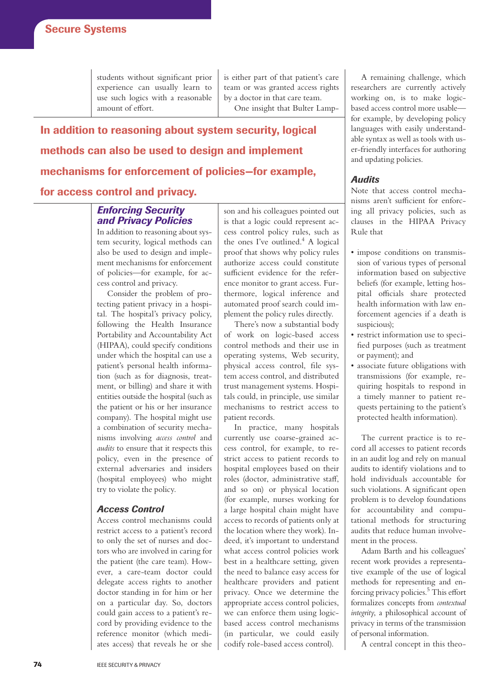students without significant prior experience can usually learn to use such logics with a reasonable amount of effort.

is either part of that patient's care team or was granted access rights by a doctor in that care team.

One insight that Bulter Lamp-

In addition to reasoning about system security, logical methods can also be used to design and implement mechanisms for enforcement of policies—for example, for access control and privacy.

### *Enforcing Security and Privacy Policies*

In addition to reasoning about system security, logical methods can also be used to design and implement mechanisms for enforcement of policies—for example, for access control and privacy.

Consider the problem of protecting patient privacy in a hospital. The hospital's privacy policy, following the Health Insurance Portability and Accountability Act (HIPAA), could specify conditions under which the hospital can use a patient's personal health information (such as for diagnosis, treatment, or billing) and share it with entities outside the hospital (such as the patient or his or her insurance company). The hospital might use a combination of security mechanisms involving *access control* and *audits* to ensure that it respects this policy, even in the presence of external adversaries and insiders (hospital employees) who might try to violate the policy.

## *Access Control*

Access control mechanisms could restrict access to a patient's record to only the set of nurses and doctors who are involved in caring for the patient (the care team). However, a care-team doctor could delegate access rights to another doctor standing in for him or her on a particular day. So, doctors could gain access to a patient's record by providing evidence to the reference monitor (which mediates access) that reveals he or she

son and his colleagues pointed out is that a logic could represent access control policy rules, such as the ones I've outlined.<sup>4</sup> A logical proof that shows why policy rules authorize access could constitute sufficient evidence for the reference monitor to grant access. Furthermore, logical inference and automated proof search could implement the policy rules directly.

There's now a substantial body of work on logic-based access control methods and their use in operating systems, Web security, physical access control, file system access control, and distributed trust management systems. Hospitals could, in principle, use similar mechanisms to restrict access to patient records.

In practice, many hospitals currently use coarse-grained access control, for example, to restrict access to patient records to hospital employees based on their roles (doctor, administrative staff, and so on) or physical location (for example, nurses working for a large hospital chain might have access to records of patients only at the location where they work). Indeed, it's important to understand what access control policies work best in a healthcare setting, given the need to balance easy access for healthcare providers and patient privacy. Once we determine the appropriate access control policies, we can enforce them using logicbased access control mechanisms (in particular, we could easily codify role-based access control).

A remaining challenge, which researchers are currently actively working on, is to make logicbased access control more usable for example, by developing policy languages with easily understandable syntax as well as tools with user-friendly interfaces for authoring and updating policies.

## *Audits*

Note that access control mechanisms aren't sufficient for enforcing all privacy policies, such as clauses in the HIPAA Privacy Rule that

- impose conditions on transmission of various types of personal information based on subjective beliefs (for example, letting hospital officials share protected health information with law enforcement agencies if a death is suspicious);
- restrict information use to specified purposes (such as treatment or payment); and
- associate future obligations with transmissions (for example, requiring hospitals to respond in a timely manner to patient requests pertaining to the patient's protected health information).

The current practice is to record all accesses to patient records in an audit log and rely on manual audits to identify violations and to hold individuals accountable for such violations. A significant open problem is to develop foundations for accountability and computational methods for structuring audits that reduce human involvement in the process.

Adam Barth and his colleagues' recent work provides a representative example of the use of logical methods for representing and enforcing privacy policies.<sup>5</sup> This effort formalizes concepts from *contextual integrity*, a philosophical account of privacy in terms of the transmission of personal information.

A central concept in this theo-